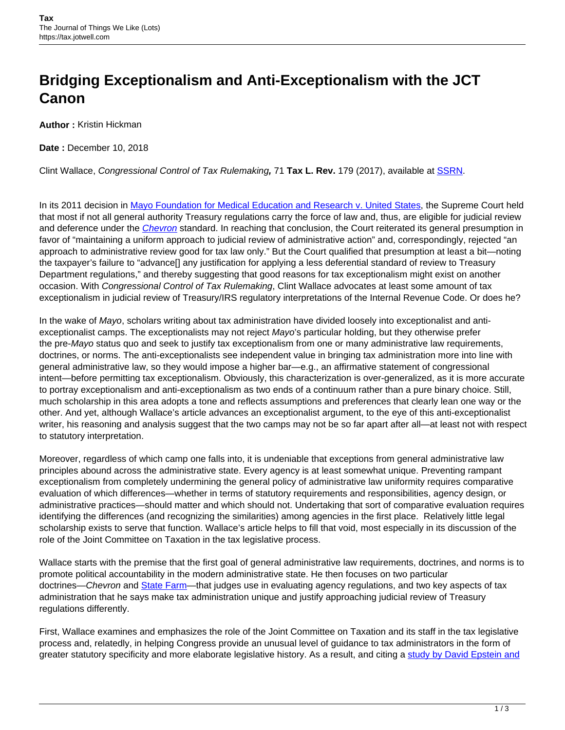## **Bridging Exceptionalism and Anti-Exceptionalism with the JCT Canon**

**Author :** Kristin Hickman

**Date :** December 10, 2018

Clint Wallace, Congressional Control of Tax Rulemaking**,** 71 **Tax L. Rev.** 179 (2017), available at [SSRN.](https://papers.ssrn.com/sol3/papers.cfm?abstract_id=3135872)

In its 2011 decision in [Mayo Foundation for Medical Education and Research v. United States](https://www.law.cornell.edu/supct/cert/09-837), the Supreme Court held that most if not all general authority Treasury regulations carry the force of law and, thus, are eligible for judicial review and deference under the *[Chevron](https://www.oyez.org/cases/1983/82-1005)* standard. In reaching that conclusion, the Court reiterated its general presumption in favor of "maintaining a uniform approach to judicial review of administrative action" and, correspondingly, rejected "an approach to administrative review good for tax law only." But the Court qualified that presumption at least a bit—noting the taxpayer's failure to "advance[] any justification for applying a less deferential standard of review to Treasury Department regulations," and thereby suggesting that good reasons for tax exceptionalism might exist on another occasion. With Congressional Control of Tax Rulemaking, Clint Wallace advocates at least some amount of tax exceptionalism in judicial review of Treasury/IRS regulatory interpretations of the Internal Revenue Code. Or does he?

In the wake of Mayo, scholars writing about tax administration have divided loosely into exceptionalist and antiexceptionalist camps. The exceptionalists may not reject Mayo's particular holding, but they otherwise prefer the pre-Mayo status quo and seek to justify tax exceptionalism from one or many administrative law requirements, doctrines, or norms. The anti-exceptionalists see independent value in bringing tax administration more into line with general administrative law, so they would impose a higher bar—e.g., an affirmative statement of congressional intent—before permitting tax exceptionalism. Obviously, this characterization is over-generalized, as it is more accurate to portray exceptionalism and anti-exceptionalism as two ends of a continuum rather than a pure binary choice. Still, much scholarship in this area adopts a tone and reflects assumptions and preferences that clearly lean one way or the other. And yet, although Wallace's article advances an exceptionalist argument, to the eye of this anti-exceptionalist writer, his reasoning and analysis suggest that the two camps may not be so far apart after all—at least not with respect to statutory interpretation.

Moreover, regardless of which camp one falls into, it is undeniable that exceptions from general administrative law principles abound across the administrative state. Every agency is at least somewhat unique. Preventing rampant exceptionalism from completely undermining the general policy of administrative law uniformity requires comparative evaluation of which differences—whether in terms of statutory requirements and responsibilities, agency design, or administrative practices—should matter and which should not. Undertaking that sort of comparative evaluation requires identifying the differences (and recognizing the similarities) among agencies in the first place. Relatively little legal scholarship exists to serve that function. Wallace's article helps to fill that void, most especially in its discussion of the role of the Joint Committee on Taxation in the tax legislative process.

Wallace starts with the premise that the first goal of general administrative law requirements, doctrines, and norms is to promote political accountability in the modern administrative state. He then focuses on two particular doctrines—Chevron and [State Farm—](https://www.oyez.org/cases/1982/82-354)that judges use in evaluating agency regulations, and two key aspects of tax administration that he says make tax administration unique and justify approaching judicial review of Treasury regulations differently.

First, Wallace examines and emphasizes the role of the Joint Committee on Taxation and its staff in the tax legislative process and, relatedly, in helping Congress provide an unusual level of guidance to tax administrators in the form of greater statutory specificity and more elaborate legislative history. As a result, and citing a [study by David Epstein and](https://www.researchgate.net/publication/282135477_Delegating_Powers_A_Transaction_Cost_Politics_Approach_to_Policy_Making_Under_Separate_Powers)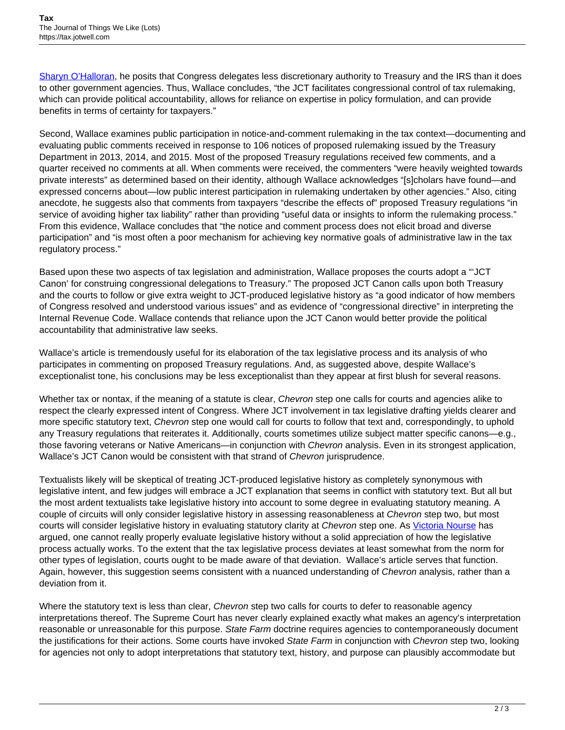[Sharyn O'Halloran](https://www.researchgate.net/publication/282135477_Delegating_Powers_A_Transaction_Cost_Politics_Approach_to_Policy_Making_Under_Separate_Powers), he posits that Congress delegates less discretionary authority to Treasury and the IRS than it does to other government agencies. Thus, Wallace concludes, "the JCT facilitates congressional control of tax rulemaking, which can provide political accountability, allows for reliance on expertise in policy formulation, and can provide benefits in terms of certainty for taxpayers."

Second, Wallace examines public participation in notice-and-comment rulemaking in the tax context—documenting and evaluating public comments received in response to 106 notices of proposed rulemaking issued by the Treasury Department in 2013, 2014, and 2015. Most of the proposed Treasury regulations received few comments, and a quarter received no comments at all. When comments were received, the commenters "were heavily weighted towards private interests" as determined based on their identity, although Wallace acknowledges "[s]cholars have found—and expressed concerns about—low public interest participation in rulemaking undertaken by other agencies." Also, citing anecdote, he suggests also that comments from taxpayers "describe the effects of" proposed Treasury regulations "in service of avoiding higher tax liability" rather than providing "useful data or insights to inform the rulemaking process." From this evidence, Wallace concludes that "the notice and comment process does not elicit broad and diverse participation" and "is most often a poor mechanism for achieving key normative goals of administrative law in the tax regulatory process."

Based upon these two aspects of tax legislation and administration, Wallace proposes the courts adopt a "'JCT Canon' for construing congressional delegations to Treasury." The proposed JCT Canon calls upon both Treasury and the courts to follow or give extra weight to JCT-produced legislative history as "a good indicator of how members of Congress resolved and understood various issues" and as evidence of "congressional directive" in interpreting the Internal Revenue Code. Wallace contends that reliance upon the JCT Canon would better provide the political accountability that administrative law seeks.

Wallace's article is tremendously useful for its elaboration of the tax legislative process and its analysis of who participates in commenting on proposed Treasury regulations. And, as suggested above, despite Wallace's exceptionalist tone, his conclusions may be less exceptionalist than they appear at first blush for several reasons.

Whether tax or nontax, if the meaning of a statute is clear, Chevron step one calls for courts and agencies alike to respect the clearly expressed intent of Congress. Where JCT involvement in tax legislative drafting yields clearer and more specific statutory text, Chevron step one would call for courts to follow that text and, correspondingly, to uphold any Treasury regulations that reiterates it. Additionally, courts sometimes utilize subject matter specific canons—e.g., those favoring veterans or Native Americans—in conjunction with Chevron analysis. Even in its strongest application, Wallace's JCT Canon would be consistent with that strand of Chevron jurisprudence.

Textualists likely will be skeptical of treating JCT-produced legislative history as completely synonymous with legislative intent, and few judges will embrace a JCT explanation that seems in conflict with statutory text. But all but the most ardent textualists take legislative history into account to some degree in evaluating statutory meaning. A couple of circuits will only consider legislative history in assessing reasonableness at Chevron step two, but most courts will consider legislative history in evaluating statutory clarity at Chevron step one. As [Victoria Nourse](https://papers.ssrn.com/sol3/papers.cfm?abstract_id=2161858) has argued, one cannot really properly evaluate legislative history without a solid appreciation of how the legislative process actually works. To the extent that the tax legislative process deviates at least somewhat from the norm for other types of legislation, courts ought to be made aware of that deviation. Wallace's article serves that function. Again, however, this suggestion seems consistent with a nuanced understanding of Chevron analysis, rather than a deviation from it.

Where the statutory text is less than clear, Chevron step two calls for courts to defer to reasonable agency interpretations thereof. The Supreme Court has never clearly explained exactly what makes an agency's interpretation reasonable or unreasonable for this purpose. State Farm doctrine requires agencies to contemporaneously document the justifications for their actions. Some courts have invoked State Farm in conjunction with Chevron step two, looking for agencies not only to adopt interpretations that statutory text, history, and purpose can plausibly accommodate but